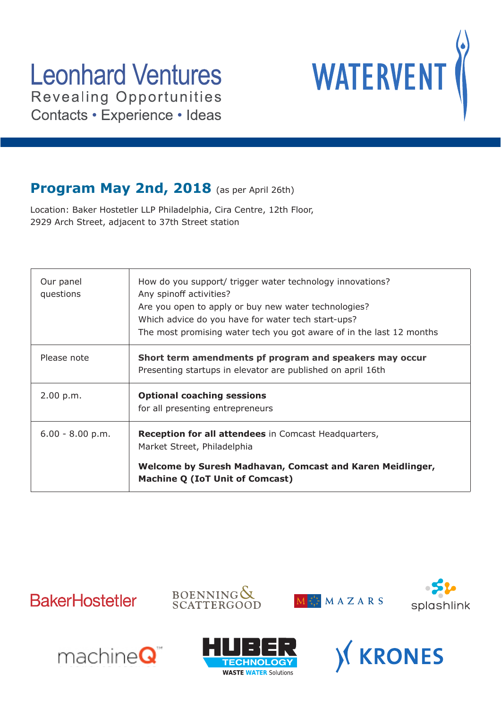

### **Program May 2nd, 2018** (as per April 26th)

Location: Baker Hostetler LLP Philadelphia, Cira Centre, 12th Floor, 2929 Arch Street, adjacent to 37th Street station

| $6.00 - 8.00 p.m.$     | <b>Reception for all attendees</b> in Comcast Headquarters,<br>Market Street, Philadelphia                                                                                                                                                                                 |
|------------------------|----------------------------------------------------------------------------------------------------------------------------------------------------------------------------------------------------------------------------------------------------------------------------|
| 2.00 p.m.              | <b>Optional coaching sessions</b><br>for all presenting entrepreneurs                                                                                                                                                                                                      |
| Please note            | Short term amendments pf program and speakers may occur<br>Presenting startups in elevator are published on april 16th                                                                                                                                                     |
| Our panel<br>questions | How do you support/ trigger water technology innovations?<br>Any spinoff activities?<br>Are you open to apply or buy new water technologies?<br>Which advice do you have for water tech start-ups?<br>The most promising water tech you got aware of in the last 12 months |











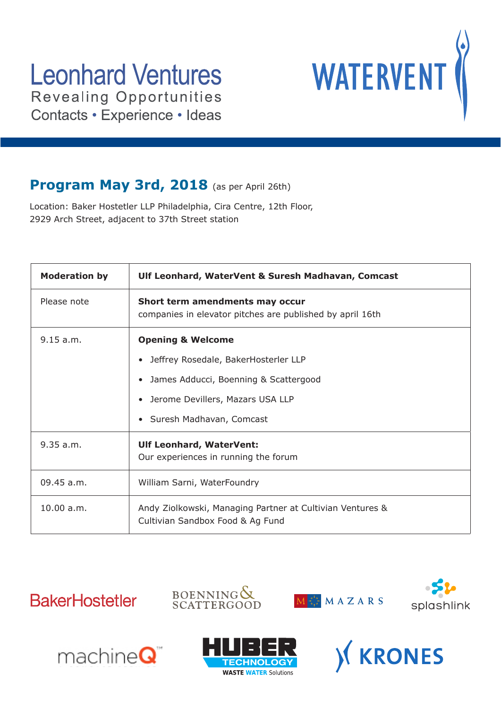# **Leonhard Ventures Revealing Opportunities**



Contacts · Experience · Ideas

### Program May 3rd, 2018 (as per April 26th)

Location: Baker Hostetler LLP Philadelphia, Cira Centre, 12th Floor, 2929 Arch Street, adjacent to 37th Street station

| <b>Moderation by</b> | Ulf Leonhard, WaterVent & Suresh Madhavan, Comcast                                            |
|----------------------|-----------------------------------------------------------------------------------------------|
| Please note          | Short term amendments may occur<br>companies in elevator pitches are published by april 16th  |
| 9.15 a.m.            | <b>Opening &amp; Welcome</b>                                                                  |
|                      | Jeffrey Rosedale, BakerHosterler LLP<br>$\bullet$                                             |
|                      | James Adducci, Boenning & Scattergood<br>$\bullet$                                            |
|                      | Jerome Devillers, Mazars USA LLP                                                              |
|                      | • Suresh Madhavan, Comcast                                                                    |
| 9.35 a.m.            | <b>Ulf Leonhard, WaterVent:</b>                                                               |
|                      | Our experiences in running the forum                                                          |
| $09.45$ a.m.         | William Sarni, WaterFoundry                                                                   |
| 10.00 a.m.           | Andy Ziolkowski, Managing Partner at Cultivian Ventures &<br>Cultivian Sandbox Food & Ag Fund |
|                      |                                                                                               |











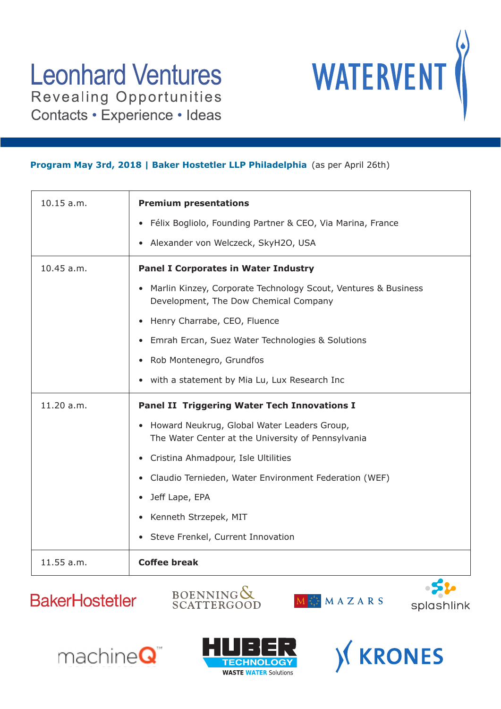

#### **Program May 3rd, 2018 | Baker Hostetler LLP Philadelphia** (as per April 26th)

| 10.15 a.m. | <b>Premium presentations</b>                                                                                         |
|------------|----------------------------------------------------------------------------------------------------------------------|
|            | Félix Bogliolo, Founding Partner & CEO, Via Marina, France<br>$\bullet$                                              |
|            | Alexander von Welczeck, SkyH2O, USA<br>$\bullet$                                                                     |
| 10.45 a.m. | <b>Panel I Corporates in Water Industry</b>                                                                          |
|            | Marlin Kinzey, Corporate Technology Scout, Ventures & Business<br>$\bullet$<br>Development, The Dow Chemical Company |
|            | Henry Charrabe, CEO, Fluence<br>$\bullet$                                                                            |
|            | Emrah Ercan, Suez Water Technologies & Solutions<br>$\bullet$                                                        |
|            | Rob Montenegro, Grundfos<br>$\bullet$                                                                                |
|            | with a statement by Mia Lu, Lux Research Inc<br>$\bullet$                                                            |
| 11.20 a.m. | <b>Panel II Triggering Water Tech Innovations I</b>                                                                  |
|            | Howard Neukrug, Global Water Leaders Group,<br>$\bullet$                                                             |
|            | The Water Center at the University of Pennsylvania                                                                   |
|            | Cristina Ahmadpour, Isle Ultilities<br>$\bullet$                                                                     |
|            | Claudio Ternieden, Water Environment Federation (WEF)<br>$\bullet$                                                   |
|            | Jeff Lape, EPA<br>$\bullet$                                                                                          |
|            | Kenneth Strzepek, MIT<br>$\bullet$                                                                                   |
|            | Steve Frenkel, Current Innovation<br>$\bullet$                                                                       |
| 11.55 a.m. | <b>Coffee break</b><br>A                                                                                             |











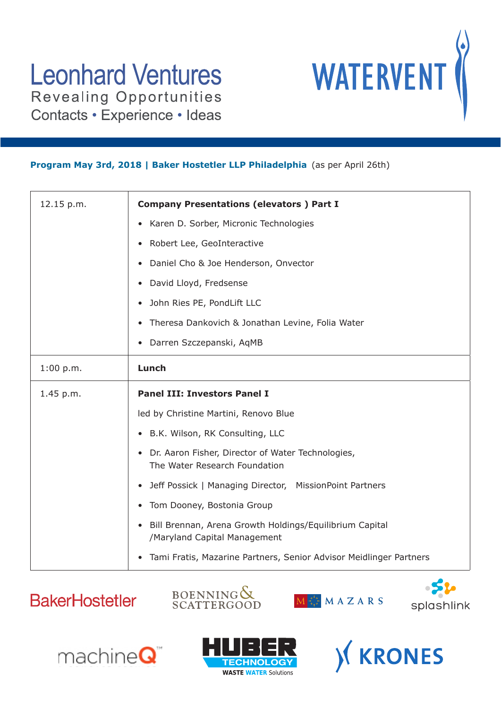

#### **Program May 3rd, 2018 | Baker Hostetler LLP Philadelphia** (as per April 26th)

| 12.15 p.m. | <b>Company Presentations (elevators) Part I</b>                                                      |
|------------|------------------------------------------------------------------------------------------------------|
|            | Karen D. Sorber, Micronic Technologies<br>$\bullet$                                                  |
|            | Robert Lee, GeoInteractive<br>$\bullet$                                                              |
|            | Daniel Cho & Joe Henderson, Onvector                                                                 |
|            | David Lloyd, Fredsense                                                                               |
|            | John Ries PE, PondLift LLC                                                                           |
|            | Theresa Dankovich & Jonathan Levine, Folia Water                                                     |
|            | Darren Szczepanski, AqMB                                                                             |
| 1:00 p.m.  | Lunch                                                                                                |
| 1.45 p.m.  | <b>Panel III: Investors Panel I</b>                                                                  |
|            | led by Christine Martini, Renovo Blue                                                                |
|            | B.K. Wilson, RK Consulting, LLC                                                                      |
|            | Dr. Aaron Fisher, Director of Water Technologies,<br>$\bullet$<br>The Water Research Foundation      |
|            | Jeff Possick   Managing Director, MissionPoint Partners<br>$\bullet$                                 |
|            | Tom Dooney, Bostonia Group                                                                           |
|            | Bill Brennan, Arena Growth Holdings/Equilibrium Capital<br>$\bullet$<br>/Maryland Capital Management |
|            | Tami Fratis, Mazarine Partners, Senior Advisor Meidlinger Partners<br>$\bullet$                      |











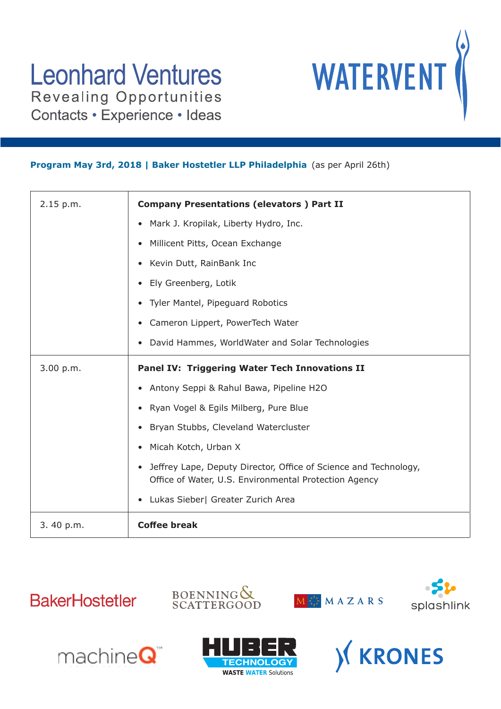

#### **Program May 3rd, 2018 | Baker Hostetler LLP Philadelphia** (as per April 26th)

| 2.15 p.m. | <b>Company Presentations (elevators) Part II</b>                                                                                       |
|-----------|----------------------------------------------------------------------------------------------------------------------------------------|
|           | Mark J. Kropilak, Liberty Hydro, Inc.<br>$\bullet$                                                                                     |
|           | Millicent Pitts, Ocean Exchange                                                                                                        |
|           | Kevin Dutt, RainBank Inc                                                                                                               |
|           | Ely Greenberg, Lotik<br>$\bullet$                                                                                                      |
|           | Tyler Mantel, Pipeguard Robotics                                                                                                       |
|           | Cameron Lippert, PowerTech Water                                                                                                       |
|           | David Hammes, WorldWater and Solar Technologies                                                                                        |
| 3.00 p.m. | Panel IV: Triggering Water Tech Innovations II                                                                                         |
|           | • Antony Seppi & Rahul Bawa, Pipeline H2O                                                                                              |
|           | Ryan Vogel & Egils Milberg, Pure Blue                                                                                                  |
|           | Bryan Stubbs, Cleveland Watercluster                                                                                                   |
|           | Micah Kotch, Urban X<br>$\bullet$                                                                                                      |
|           | Jeffrey Lape, Deputy Director, Office of Science and Technology,<br>$\bullet$<br>Office of Water, U.S. Environmental Protection Agency |
|           | Lukas Sieber  Greater Zurich Area<br>$\bullet$                                                                                         |
| 3.40 p.m. | <b>Coffee break</b>                                                                                                                    |











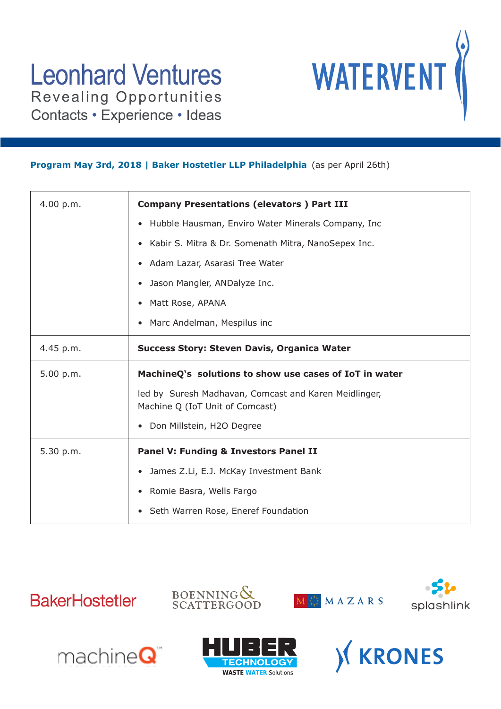

#### **Program May 3rd, 2018 | Baker Hostetler LLP Philadelphia** (as per April 26th)

| 4.00 p.m. | <b>Company Presentations (elevators) Part III</b>                                        |
|-----------|------------------------------------------------------------------------------------------|
|           | Hubble Hausman, Enviro Water Minerals Company, Inc.                                      |
|           | Kabir S. Mitra & Dr. Somenath Mitra, NanoSepex Inc.<br>$\bullet$                         |
|           | Adam Lazar, Asarasi Tree Water                                                           |
|           | Jason Mangler, ANDalyze Inc.                                                             |
|           | Matt Rose, APANA                                                                         |
|           | Marc Andelman, Mespilus inc                                                              |
| 4.45 p.m. | <b>Success Story: Steven Davis, Organica Water</b>                                       |
| 5.00 p.m. | MachineQ's solutions to show use cases of IoT in water                                   |
|           | led by Suresh Madhavan, Comcast and Karen Meidlinger,<br>Machine Q (IoT Unit of Comcast) |
|           | • Don Millstein, H2O Degree                                                              |
| 5.30 p.m. | <b>Panel V: Funding &amp; Investors Panel II</b>                                         |
|           | James Z.Li, E.J. McKay Investment Bank                                                   |
|           | Romie Basra, Wells Fargo                                                                 |
|           | Seth Warren Rose, Eneref Foundation                                                      |